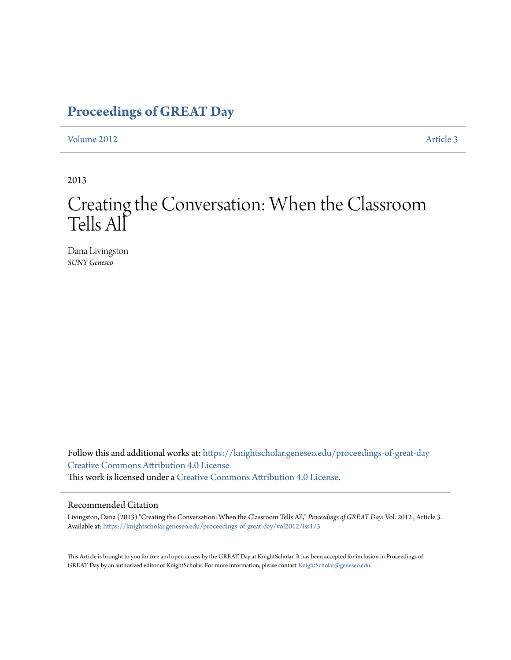### **[Proceedings of GREAT Day](https://knightscholar.geneseo.edu/proceedings-of-great-day?utm_source=knightscholar.geneseo.edu%2Fproceedings-of-great-day%2Fvol2012%2Fiss1%2F3&utm_medium=PDF&utm_campaign=PDFCoverPages)**

[Volume 2012](https://knightscholar.geneseo.edu/proceedings-of-great-day/vol2012?utm_source=knightscholar.geneseo.edu%2Fproceedings-of-great-day%2Fvol2012%2Fiss1%2F3&utm_medium=PDF&utm_campaign=PDFCoverPages) **[Article 3](https://knightscholar.geneseo.edu/proceedings-of-great-day/vol2012/iss1/3?utm_source=knightscholar.geneseo.edu%2Fproceedings-of-great-day%2Fvol2012%2Fiss1%2F3&utm_medium=PDF&utm_campaign=PDFCoverPages)** 

2013

### Creating the Conversation: When the Classroom Tells All

Dana Livingston *SUNY Geneseo*

Follow this and additional works at: [https://knightscholar.geneseo.edu/proceedings-of-great-day](https://knightscholar.geneseo.edu/proceedings-of-great-day?utm_source=knightscholar.geneseo.edu%2Fproceedings-of-great-day%2Fvol2012%2Fiss1%2F3&utm_medium=PDF&utm_campaign=PDFCoverPages) [Creative Commons Attribution 4.0 License](http://creativecommons.org/licenses/by/4.0/) This work is licensed under a [Creative Commons Attribution 4.0 License.](http://creativecommons.org/licenses/by/4.0/)

#### Recommended Citation

Livingston, Dana (2013) "Creating the Conversation: When the Classroom Tells All," *Proceedings of GREAT Day*: Vol. 2012 , Article 3. Available at: [https://knightscholar.geneseo.edu/proceedings-of-great-day/vol2012/iss1/3](https://knightscholar.geneseo.edu/proceedings-of-great-day/vol2012/iss1/3?utm_source=knightscholar.geneseo.edu%2Fproceedings-of-great-day%2Fvol2012%2Fiss1%2F3&utm_medium=PDF&utm_campaign=PDFCoverPages)

This Article is brought to you for free and open access by the GREAT Day at KnightScholar. It has been accepted for inclusion in Proceedings of GREAT Day by an authorized editor of KnightScholar. For more information, please contact [KnightScholar@geneseo.edu.](mailto:KnightScholar@geneseo.edu)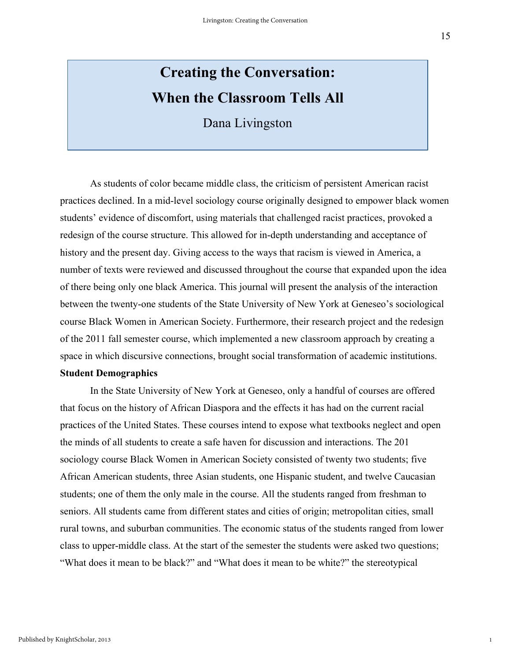## **Creating the Conversation: When the Classroom Tells All**

Dana Livingston

As students of color became middle class, the criticism of persistent American racist practices declined. In a mid-level sociology course originally designed to empower black women students' evidence of discomfort, using materials that challenged racist practices, provoked a redesign of the course structure. This allowed for in-depth understanding and acceptance of history and the present day. Giving access to the ways that racism is viewed in America, a number of texts were reviewed and discussed throughout the course that expanded upon the idea of there being only one black America. This journal will present the analysis of the interaction between the twenty-one students of the State University of New York at Geneseo's sociological course Black Women in American Society. Furthermore, their research project and the redesign of the 2011 fall semester course, which implemented a new classroom approach by creating a space in which discursive connections, brought social transformation of academic institutions.

### **Student Demographics**

In the State University of New York at Geneseo, only a handful of courses are offered that focus on the history of African Diaspora and the effects it has had on the current racial practices of the United States. These courses intend to expose what textbooks neglect and open the minds of all students to create a safe haven for discussion and interactions. The 201 sociology course Black Women in American Society consisted of twenty two students; five African American students, three Asian students, one Hispanic student, and twelve Caucasian students; one of them the only male in the course. All the students ranged from freshman to seniors. All students came from different states and cities of origin; metropolitan cities, small rural towns, and suburban communities. The economic status of the students ranged from lower class to upper-middle class. At the start of the semester the students were asked two questions; "What does it mean to be black?" and "What does it mean to be white?" the stereotypical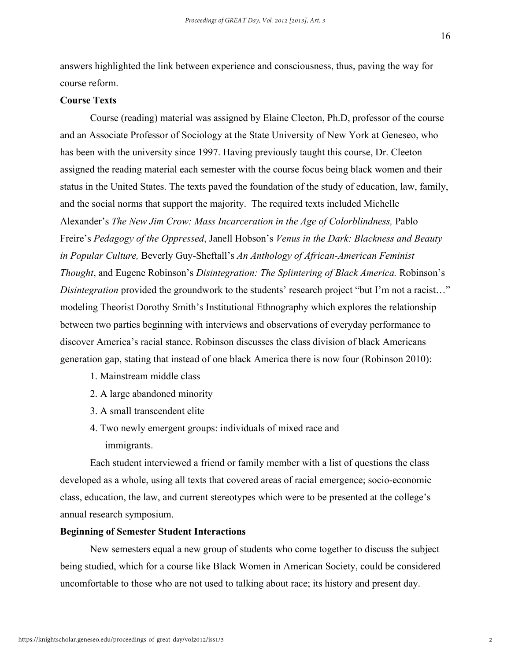16

answers highlighted the link between experience and consciousness, thus, paving the way for course reform.

### **Course Texts**

Course (reading) material was assigned by Elaine Cleeton, Ph.D, professor of the course and an Associate Professor of Sociology at the State University of New York at Geneseo, who has been with the university since 1997. Having previously taught this course, Dr. Cleeton assigned the reading material each semester with the course focus being black women and their status in the United States. The texts paved the foundation of the study of education, law, family, and the social norms that support the majority. The required texts included Michelle Alexander's *The New Jim Crow: Mass Incarceration in the Age of Colorblindness,* Pablo Freire's *Pedagogy of the Oppressed*, Janell Hobson's *Venus in the Dark: Blackness and Beauty in Popular Culture,* Beverly Guy-Sheftall's *An Anthology of African-American Feminist Thought*, and Eugene Robinson's *Disintegration: The Splintering of Black America.* Robinson's *Disintegration* provided the groundwork to the students' research project "but I'm not a racist..." modeling Theorist Dorothy Smith's Institutional Ethnography which explores the relationship between two parties beginning with interviews and observations of everyday performance to discover America's racial stance. Robinson discusses the class division of black Americans generation gap, stating that instead of one black America there is now four (Robinson 2010):

- 1. Mainstream middle class
- 2. A large abandoned minority
- 3. A small transcendent elite
- 4. Two newly emergent groups: individuals of mixed race and immigrants.

Each student interviewed a friend or family member with a list of questions the class developed as a whole, using all texts that covered areas of racial emergence; socio-economic class, education, the law, and current stereotypes which were to be presented at the college's annual research symposium.

### **Beginning of Semester Student Interactions**

New semesters equal a new group of students who come together to discuss the subject being studied, which for a course like Black Women in American Society, could be considered uncomfortable to those who are not used to talking about race; its history and present day.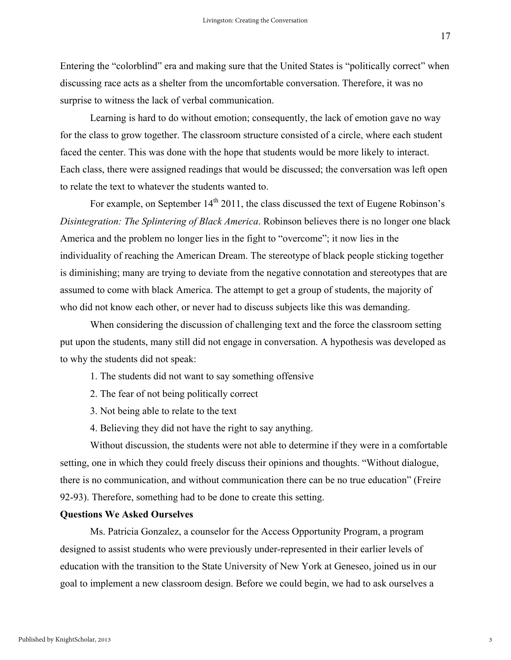17

Entering the "colorblind" era and making sure that the United States is "politically correct" when discussing race acts as a shelter from the uncomfortable conversation. Therefore, it was no surprise to witness the lack of verbal communication.

Learning is hard to do without emotion; consequently, the lack of emotion gave no way for the class to grow together. The classroom structure consisted of a circle, where each student faced the center. This was done with the hope that students would be more likely to interact. Each class, there were assigned readings that would be discussed; the conversation was left open to relate the text to whatever the students wanted to.

For example, on September  $14<sup>th</sup> 2011$ , the class discussed the text of Eugene Robinson's *Disintegration: The Splintering of Black America*. Robinson believes there is no longer one black America and the problem no longer lies in the fight to "overcome"; it now lies in the individuality of reaching the American Dream. The stereotype of black people sticking together is diminishing; many are trying to deviate from the negative connotation and stereotypes that are assumed to come with black America. The attempt to get a group of students, the majority of who did not know each other, or never had to discuss subjects like this was demanding.

When considering the discussion of challenging text and the force the classroom setting put upon the students, many still did not engage in conversation. A hypothesis was developed as to why the students did not speak:

- 1. The students did not want to say something offensive
- 2. The fear of not being politically correct
- 3. Not being able to relate to the text
- 4. Believing they did not have the right to say anything.

Without discussion, the students were not able to determine if they were in a comfortable setting, one in which they could freely discuss their opinions and thoughts. "Without dialogue, there is no communication, and without communication there can be no true education" (Freire 92-93). Therefore, something had to be done to create this setting.

### **Questions We Asked Ourselves**

Ms. Patricia Gonzalez, a counselor for the Access Opportunity Program, a program designed to assist students who were previously under-represented in their earlier levels of education with the transition to the State University of New York at Geneseo, joined us in our goal to implement a new classroom design. Before we could begin, we had to ask ourselves a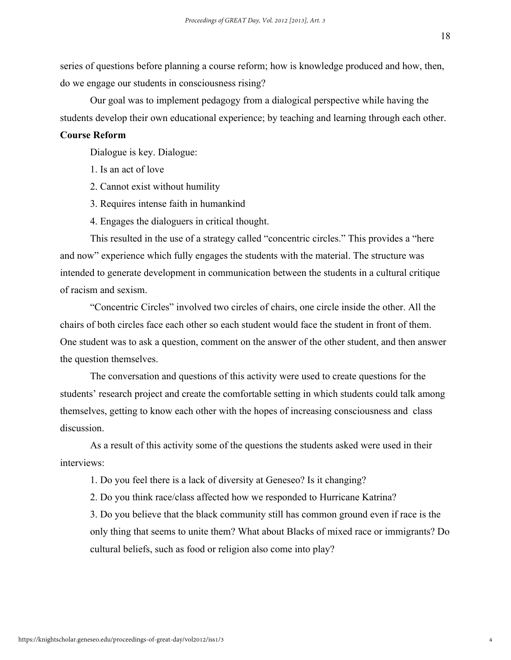series of questions before planning a course reform; how is knowledge produced and how, then, do we engage our students in consciousness rising?

Our goal was to implement pedagogy from a dialogical perspective while having the students develop their own educational experience; by teaching and learning through each other.

### **Course Reform**

Dialogue is key. Dialogue:

- 1. Is an act of love
- 2. Cannot exist without humility
- 3. Requires intense faith in humankind
- 4. Engages the dialoguers in critical thought.

This resulted in the use of a strategy called "concentric circles." This provides a "here and now" experience which fully engages the students with the material. The structure was intended to generate development in communication between the students in a cultural critique of racism and sexism.

"Concentric Circles" involved two circles of chairs, one circle inside the other. All the chairs of both circles face each other so each student would face the student in front of them. One student was to ask a question, comment on the answer of the other student, and then answer the question themselves.

The conversation and questions of this activity were used to create questions for the students' research project and create the comfortable setting in which students could talk among themselves, getting to know each other with the hopes of increasing consciousness and class discussion.

As a result of this activity some of the questions the students asked were used in their interviews:

1. Do you feel there is a lack of diversity at Geneseo? Is it changing?

2. Do you think race/class affected how we responded to Hurricane Katrina?

3. Do you believe that the black community still has common ground even if race is the only thing that seems to unite them? What about Blacks of mixed race or immigrants? Do cultural beliefs, such as food or religion also come into play?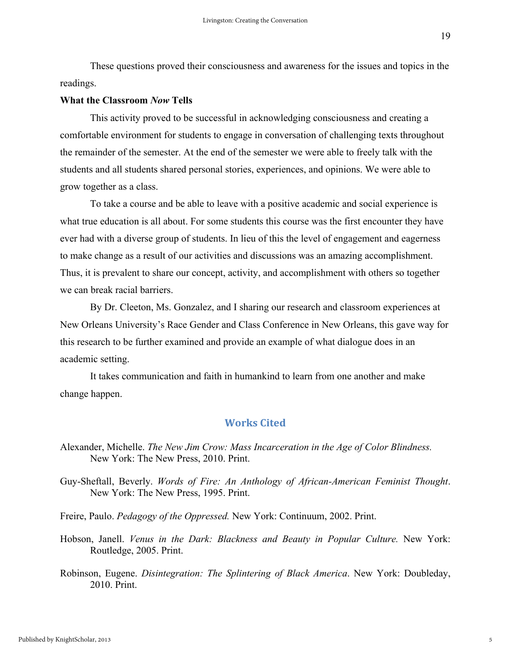These questions proved their consciousness and awareness for the issues and topics in the readings.

### **What the Classroom** *Now* **Tells**

This activity proved to be successful in acknowledging consciousness and creating a comfortable environment for students to engage in conversation of challenging texts throughout the remainder of the semester. At the end of the semester we were able to freely talk with the students and all students shared personal stories, experiences, and opinions. We were able to grow together as a class.

To take a course and be able to leave with a positive academic and social experience is what true education is all about. For some students this course was the first encounter they have ever had with a diverse group of students. In lieu of this the level of engagement and eagerness to make change as a result of our activities and discussions was an amazing accomplishment. Thus, it is prevalent to share our concept, activity, and accomplishment with others so together we can break racial barriers.

By Dr. Cleeton, Ms. Gonzalez, and I sharing our research and classroom experiences at New Orleans University's Race Gender and Class Conference in New Orleans, this gave way for this research to be further examined and provide an example of what dialogue does in an academic setting.

It takes communication and faith in humankind to learn from one another and make change happen.

### **Works Cited**

Alexander, Michelle. *The New Jim Crow: Mass Incarceration in the Age of Color Blindness.* New York: The New Press, 2010. Print.

Guy-Sheftall, Beverly. *Words of Fire: An Anthology of African-American Feminist Thought*. New York: The New Press, 1995. Print.

Freire, Paulo. *Pedagogy of the Oppressed.* New York: Continuum, 2002. Print.

Hobson, Janell. *Venus in the Dark: Blackness and Beauty in Popular Culture.* New York: Routledge, 2005. Print.

Robinson, Eugene. *Disintegration: The Splintering of Black America*. New York: Doubleday, 2010. Print.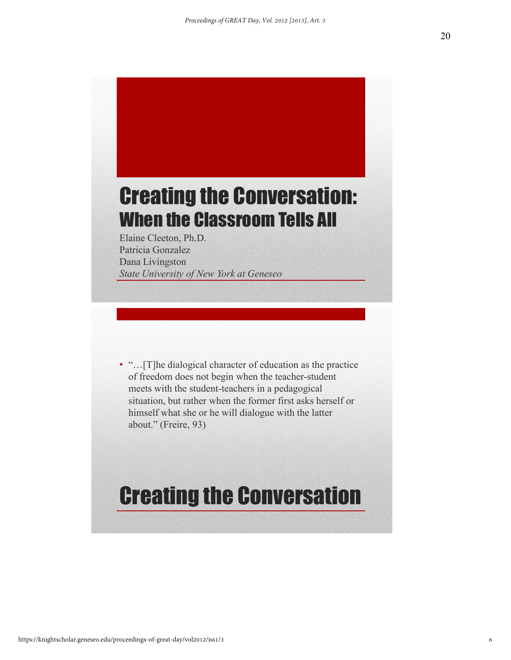# Creating the Conversation: When the Classroom Tells All

Elaine Cleeton, Ph.D. Patricia Gonzalez Dana Livingston *State University of New York at Geneseo*

• "... [T]he dialogical character of education as the practice of freedom does not begin when the teacher-student meets with the student-teachers in a pedagogical situation, but rather when the former first asks herself or himself what she or he will dialogue with the latter about." (Freire, 93)

# Creating the Conversation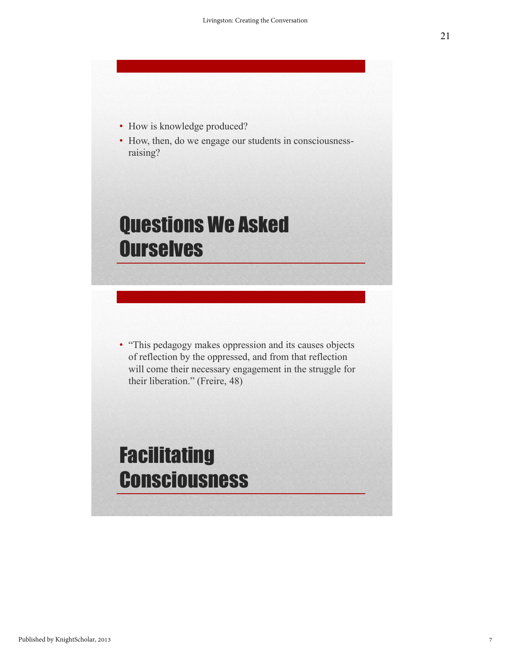- How is knowledge produced?
- How, then, do we engage our students in consciousnessraising?

## Questions We Asked **Ourselves**

• "This pedagogy makes oppression and its causes objects of reflection by the oppressed, and from that reflection will come their necessary engagement in the struggle for their liberation." (Freire, 48)

## Facilitating **Consciousness**

21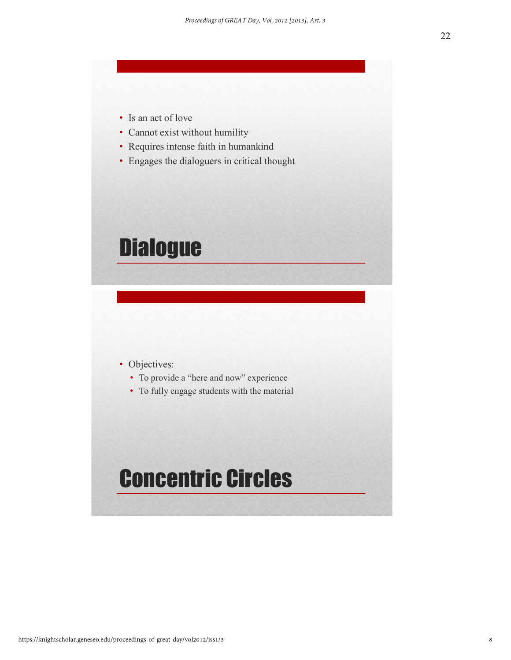- Is an act of love
- Cannot exist without humility
- Requires intense faith in humankind
- Engages the dialoguers in critical thought

## **Dialogue**

- Objectives:
	- To provide a "here and now" experience
	- To fully engage students with the material

## Concentric Circles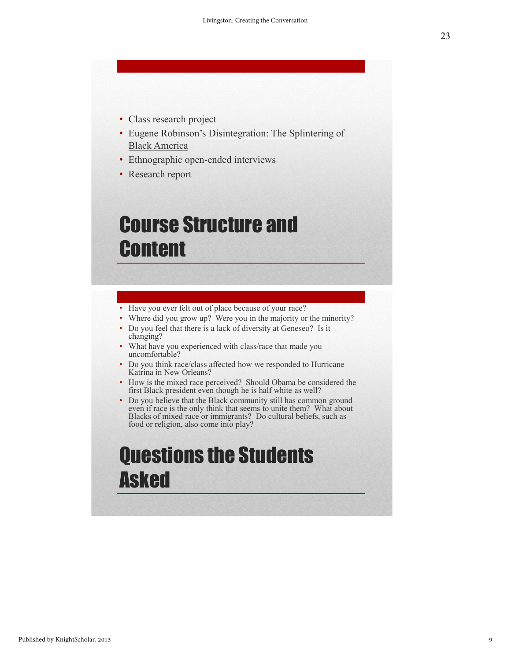- Class research project
- Eugene Robinson's Disintegration: The Splintering of Black America
- Ethnographic open-ended interviews
- Research report

## Course Structure and **Content**

- Have you ever felt out of place because of your race?
- Where did you grow up? Were you in the majority or the minority?
- Do you feel that there is a lack of diversity at Geneseo? Is it changing?
- What have you experienced with class/race that made you uncomfortable?
- Do you think race/class affected how we responded to Hurricane Katrina in New Orleans?
- How is the mixed race perceived? Should Obama be considered the first Black president even though he is half white as well?
- Do you believe that the Black community still has common ground even if race is the only think that seems to unite them? What about Blacks of mixed race or immigrants? Do cultural beliefs, such as food or religion, also come into play?

## Questions the Students Asked